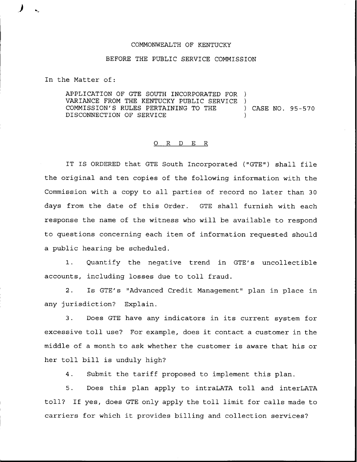## COMMONWEALTH OF KENTUCKY

## BEFORE THE PUBLIC SERVICE COMMISSION

In the Matter of:

APPLICATION OF GTE SOUTH INCORPORATED FOR ) VARIANCE FROM THE KENTUCKY PUBLIC SERVICE )<br>COMMISSION'S RULES PERTAINING TO THE COMMISSION'S RULES PERTAINING TO THE ) CASE NO. 95-570 DISCONNECTION OF SERVICE

## 0 R <sup>D</sup> E <sup>R</sup>

IT IS ORDERED that GTE South Incorporated ("GTE") shall file the original and ten copies of the following information with the Commission with a copy to all parties of record no later than 30 days from the date of this Order. GTE shall furnish with each response the name of the witness who will be available to respond to questions concerning each item of information requested should a public hearing be scheduled.

1. Quantify the negative trend in GTE's uncollectible accounts, including losses due to toll fraud.

Is GTE's "Advanced Credit Management" plan in place in  $2.$ any jurisdiction? Explain.

3. Does GTE have any indicators in its current system for excessive toll use? For example, does it contact <sup>a</sup> customer in the middle of a month to ask whether the customer is aware that his or her toll bill is unduly high?

4. Submit the tariff proposed to implement this plan.

5. Does this plan apply to intraLATA toll and interLATA toll? If yes, does GTE only apply the toll limit for calls made to carriers for which it provides billing and collection services?